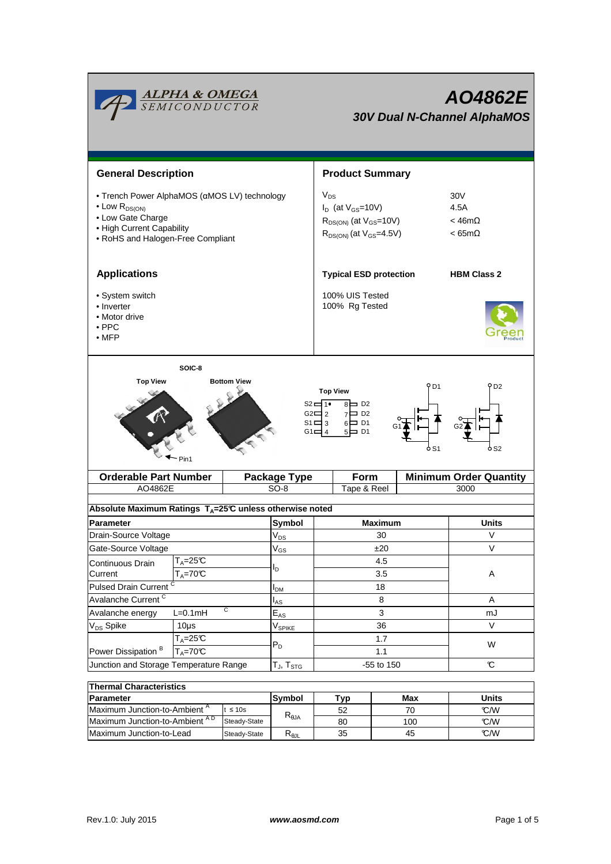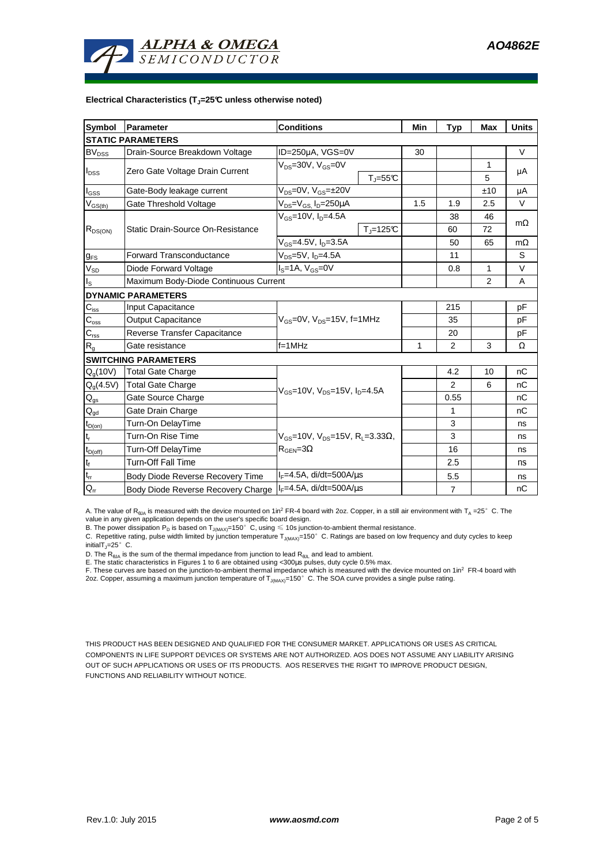

#### **Electrical Characteristics (TJ=25°C unless otherwise noted)**

| <b>Symbol</b>              | Parameter                             | <b>Conditions</b>                                                                         |                       | Min | <b>Typ</b>     | Max | <b>Units</b> |  |
|----------------------------|---------------------------------------|-------------------------------------------------------------------------------------------|-----------------------|-----|----------------|-----|--------------|--|
| <b>STATIC PARAMETERS</b>   |                                       |                                                                                           |                       |     |                |     |              |  |
| <b>BV<sub>DSS</sub></b>    | Drain-Source Breakdown Voltage        | ID=250µA, VGS=0V                                                                          |                       | 30  |                |     | V            |  |
| $I_{DSS}$                  | Zero Gate Voltage Drain Current       | $V_{DS}$ =30V, $V_{GS}$ =0V                                                               |                       |     |                | 1   |              |  |
|                            |                                       |                                                                                           | $T_{J} = 55^{\circ}C$ |     |                | 5   | μA           |  |
| $I_{\rm GSS}$              | Gate-Body leakage current             | $V_{DS} = 0V$ , $V_{GS} = \pm 20V$                                                        |                       |     |                | ±10 | μA           |  |
| $V_{GS(th)}$               | Gate Threshold Voltage                | $V_{DS} = V_{GS}$ , $I_D = 250 \mu A$                                                     |                       | 1.5 | 1.9            | 2.5 | V            |  |
| $R_{DS(ON)}$               | Static Drain-Source On-Resistance     | $V_{gs} = 10V$ , $I_{p} = 4.5A$                                                           |                       |     | 38             | 46  | $m\Omega$    |  |
|                            |                                       |                                                                                           | $T_{\rm J}$ =125°C    |     | 60             | 72  |              |  |
|                            |                                       | $V_{GS} = 4.5V, I_D = 3.5A$                                                               |                       |     | 50             | 65  | $m\Omega$    |  |
| $g_{FS}$                   | <b>Forward Transconductance</b>       | $V_{DS} = 5V$ , $I_D = 4.5A$                                                              |                       |     | 11             |     | S            |  |
| $V_{SD}$                   | Diode Forward Voltage                 | $IS=1A, VGS=0V$                                                                           |                       |     | 0.8            | 1   | V            |  |
| $I_{\rm S}$                | Maximum Body-Diode Continuous Current |                                                                                           |                       |     |                | 2   | A            |  |
|                            | <b>DYNAMIC PARAMETERS</b>             |                                                                                           |                       |     |                |     |              |  |
| $\mathbf{C}_{\text{iss}}$  | Input Capacitance                     | $V_{GS}$ =0V, $V_{DS}$ =15V, f=1MHz                                                       |                       |     | 215            |     | pF           |  |
| $C_{\text{oss}}$           | <b>Output Capacitance</b>             |                                                                                           |                       |     | 35             |     | рF           |  |
| $\mathbf{C}_{\text{rss}}$  | Reverse Transfer Capacitance          |                                                                                           |                       |     | 20             |     | рF           |  |
| $R_{g}$                    | Gate resistance                       | $f = 1$ MHz                                                                               |                       | 1   | 2              | 3   | Ω            |  |
|                            | <b>SWITCHING PARAMETERS</b>           |                                                                                           |                       |     |                |     |              |  |
| $Q_q(10V)$                 | <b>Total Gate Charge</b>              | $V_{GS}$ =10V, $V_{DS}$ =15V, $I_{D}$ =4.5A                                               |                       |     | 4.2            | 10  | nC           |  |
| $Q_g(4.5V)$                | <b>Total Gate Charge</b>              |                                                                                           |                       |     | $\mathcal{P}$  | 6   | nС           |  |
| $\mathbf{Q}_\text{gs}$     | Gate Source Charge                    |                                                                                           |                       |     | 0.55           |     | nC           |  |
| $Q_{gd}$                   | Gate Drain Charge                     |                                                                                           |                       |     | 1              |     | nC           |  |
| $t_{D(on)}$                | Turn-On DelayTime                     | $V_{GS}$ =10V, V <sub>DS</sub> =15V, R <sub>L</sub> =3.33Ω,<br>$R_{\text{GEN}} = 3\Omega$ |                       |     | 3              |     | ns           |  |
| $t_r$                      | Turn-On Rise Time                     |                                                                                           |                       |     | 3              |     | ns           |  |
| $t_{D(off)}$               | Turn-Off DelayTime                    |                                                                                           |                       |     | 16             |     | ns           |  |
| $\mathbf{t}_\text{f}$      | <b>Turn-Off Fall Time</b>             |                                                                                           |                       |     | 2.5            |     | ns           |  |
| $\mathfrak{t}_{\text{rr}}$ | Body Diode Reverse Recovery Time      | $I_F = 4.5A$ , di/dt=500A/ $\mu$ s                                                        |                       |     | 5.5            |     | ns           |  |
| $Q_{rr}$                   | Body Diode Reverse Recovery Charge    | $I_F = 4.5A$ , di/dt=500A/ $\mu$ s                                                        |                       |     | $\overline{7}$ |     | nC           |  |

A. The value of  $R_{\theta JA}$  is measured with the device mounted on 1in<sup>2</sup> FR-4 board with 2oz. Copper, in a still air environment with T<sub>A</sub> =25°C. The value in any given application depends on the user's specific board design.

B. The power dissipation  ${\sf P}_{\sf D}$  is based on  ${\sf T}_{\sf J(MAX)}$ =150 $^\circ\,$  C, using  $\leqslant$  10s junction-to-ambient thermal resistance.

C. Repetitive rating, pulse width limited by junction temperature  $T_{J(MAX)}$ =150°C. Ratings are based on low frequency and duty cycles to keep

initialT $_{J}$ =25°C.

D. The R<sub>eJA</sub> is the sum of the thermal impedance from junction to lead R<sub>eJL</sub> and lead to ambient.<br>E. The static characteristics in Figures 1 to 6 are obtained using <300µs pulses, duty cycle 0.5% max.<br>F. These curves ar 2oz. Copper, assuming a maximum junction temperature of  $T_{J(MAX)}$ =150°C. The SOA curve provides a single pulse rating.

THIS PRODUCT HAS BEEN DESIGNED AND QUALIFIED FOR THE CONSUMER MARKET. APPLICATIONS OR USES AS CRITICAL COMPONENTS IN LIFE SUPPORT DEVICES OR SYSTEMS ARE NOT AUTHORIZED. AOS DOES NOT ASSUME ANY LIABILITY ARISING OUT OF SUCH APPLICATIONS OR USES OF ITS PRODUCTS. AOS RESERVES THE RIGHT TO IMPROVE PRODUCT DESIGN, FUNCTIONS AND RELIABILITY WITHOUT NOTICE.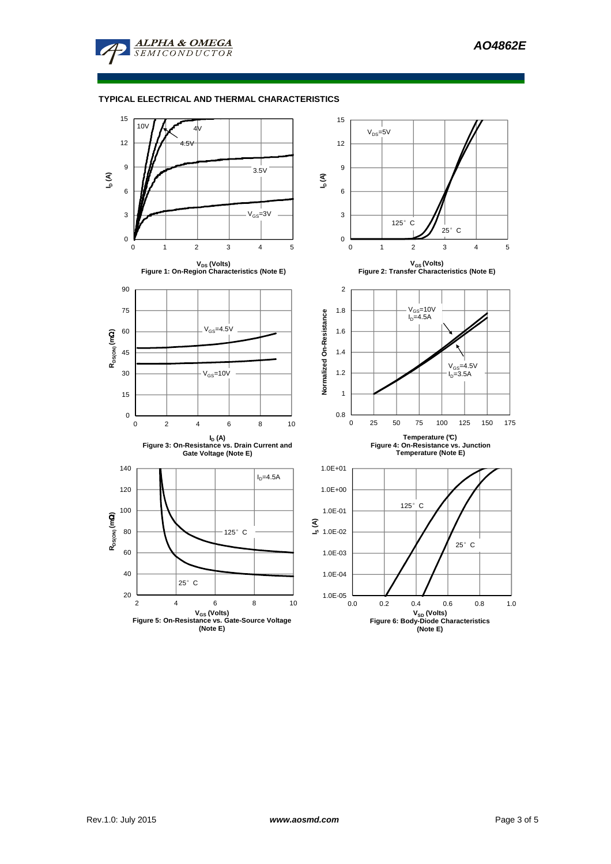

## **TYPICAL ELECTRICAL AND THERMAL CHARACTERISTICS**

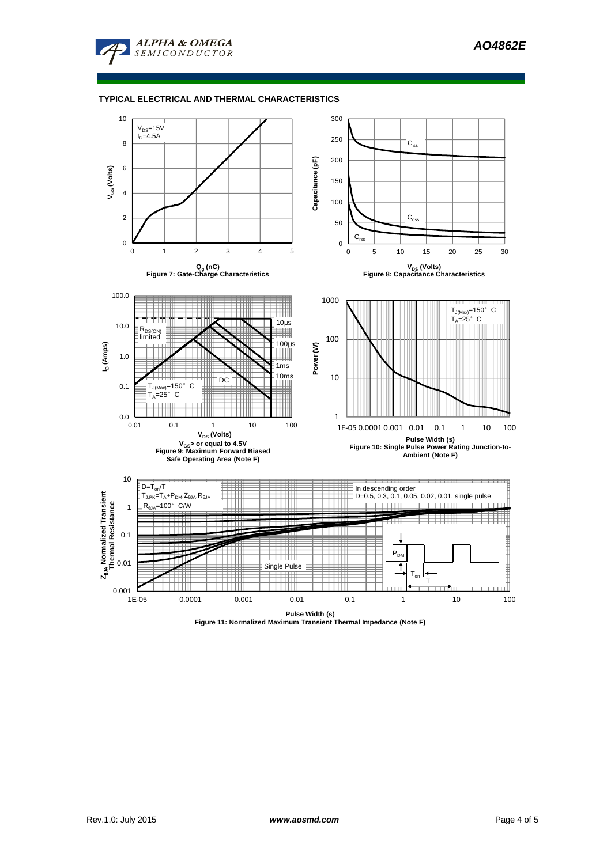

#### **TYPICAL ELECTRICAL AND THERMAL CHARACTERISTICS**